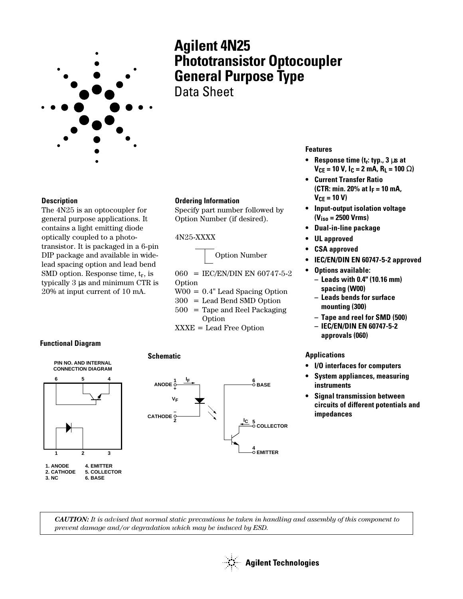

# **Agilent 4N25 Phototransistor Optocoupler General Purpose Type** Data Sheet

**Description**

The 4N25 is an optocoupler for general purpose applications. It contains a light emitting diode optically coupled to a phototransistor. It is packaged in a 6-pin DIP package and available in widelead spacing option and lead bend SMD option. Response time,  $t_r$ , is typically 3 µs and minimum CTR is 20% at input current of 10 mA.

#### **Ordering Information**

Specify part number followed by Option Number (if desired).

#### 4N25-XXXX

**Schematic**

Option Number

060 = IEC/EN/DIN EN 60747-5-2 Option

- W00 = 0.4" Lead Spacing Option
- 300 = Lead Bend SMD Option
- $500 =$  Tape and Reel Packaging Option
- XXXE = Lead Free Option

#### **Functional Diagram**





#### **Features**

- **Response time (tr: typ., 3** µ**s at VCE = 10 V, IC = 2 mA, RL = 100** Ω**)**
- **Current Transfer Ratio (CTR: min. 20% at IF = 10 mA,**  $V_{CE} = 10 V$
- **Input-output isolation voltage (Viso = 2500 Vrms)**
- **Dual-in-line package**
- **UL approved**
- **CSA approved**
- **IEC/EN/DIN EN 60747-5-2 approved**
- **Options available:**
	- **Leads with 0.4" (10.16 mm) spacing (W00)**
	- **Leads bends for surface mounting (300)**
	- **Tape and reel for SMD (500)**
	- **IEC/EN/DIN EN 60747-5-2 approvals (060)**

#### **Applications**

- **I/O interfaces for computers**
- **System appliances, measuring instruments**
- **Signal transmission between circuits of different potentials and impedances**

*CAUTION: It is advised that normal static precautions be taken in handling and assembly of this component to prevent damage and/or degradation which may be induced by ESD.*

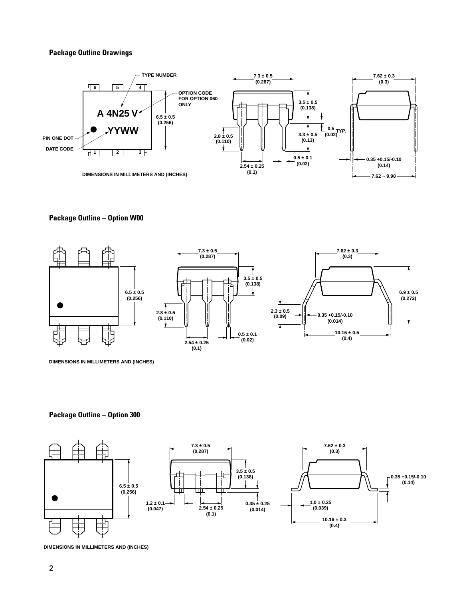#### **Package Outline Drawings**



#### **Package Outline – Option W00**



**DIMENSIONS IN MILLIMETERS AND (INCHES)**

#### **Package Outline – Option 300**



**DIMENSIONS IN MILLIMETERS AND (INCHES)**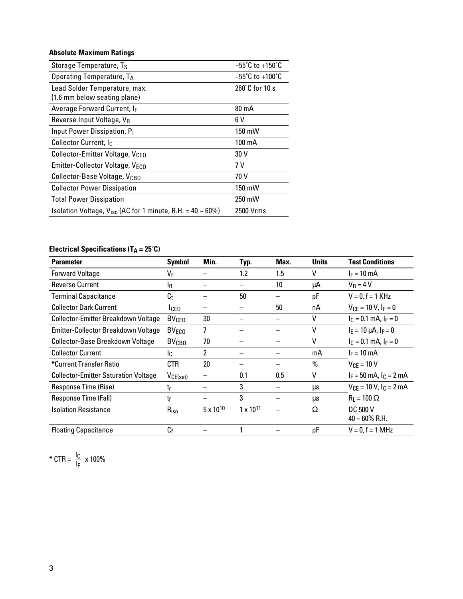### **Absolute Maximum Ratings**

| Storage Temperature, Ts                                         | $-55^{\circ}$ C to +150 $^{\circ}$ C |
|-----------------------------------------------------------------|--------------------------------------|
| Operating Temperature, TA                                       | $-55^{\circ}$ C to +100 $^{\circ}$ C |
| Lead Solder Temperature, max.<br>(1.6 mm below seating plane)   | $260^{\circ}$ C for 10 s             |
| Average Forward Current, IF                                     | $80 \text{ mA}$                      |
| Reverse Input Voltage, VR                                       | 6 V                                  |
| Input Power Dissipation, P <sub>1</sub>                         | 150 mW                               |
| Collector Current, Ic.                                          | 100 mA                               |
| Collector-Emitter Voltage, V <sub>CEO</sub>                     | 30 V                                 |
| Emitter-Collector Voltage, VECO                                 | 7 V                                  |
| Collector-Base Voltage, V <sub>CBO</sub>                        | 70 V                                 |
| <b>Collector Power Dissipation</b>                              | 150 mW                               |
| <b>Total Power Dissipation</b>                                  | 250 mW                               |
| Isolation Voltage, $V_{iso}$ (AC for 1 minute, R.H. = 40 ~ 60%) | 2500 Vrms                            |

## **Electrical Specifications (TA = 25°C)**

| <b>Parameter</b>                            | <b>Symbol</b>           | Min.               | Typ.               | Max. | <b>Units</b> | <b>Test Conditions</b>                         |
|---------------------------------------------|-------------------------|--------------------|--------------------|------|--------------|------------------------------------------------|
| <b>Forward Voltage</b>                      | VF                      |                    | 1.2                | 1.5  | ٧            | $I_F = 10$ mA                                  |
| <b>Reverse Current</b>                      | l <sub>R</sub>          |                    |                    | 10   | μA           | $V_R = 4 V$                                    |
| <b>Terminal Capacitance</b>                 | C <sub>t</sub>          |                    | 50                 |      | pF           | $V = 0, f = 1$ KHz                             |
| <b>Collector Dark Current</b>               | Iceo                    |                    |                    | 50   | nA           | $V_{CF} = 10 V, I_F = 0$                       |
| <b>Collector-Emitter Breakdown Voltage</b>  | <b>BV<sub>CEO</sub></b> | 30                 |                    |      | ٧            | $I_C = 0.1$ mA, $I_F = 0$                      |
| Emitter-Collector Breakdown Voltage         | $BV_{ECO}$              | 7                  |                    |      | ٧            | $I_E = 10 \mu A$ , $I_F = 0$                   |
| Collector-Base Breakdown Voltage            | <b>BV<sub>CBO</sub></b> | 70                 |                    |      | ٧            | $I_C = 0.1$ mA, $I_F = 0$                      |
| <b>Collector Current</b>                    | Ic.                     | $\overline{2}$     |                    |      | mA           | $I_F = 10$ mA                                  |
| *Current Transfer Ratio                     | CTR                     | 20                 |                    |      | $\%$         | $V_{CF} = 10 V$                                |
| <b>Collector-Emitter Saturation Voltage</b> | $V_{CE(sat)}$           |                    | 0.1                | 0.5  | v            | $I_F = 50$ mA, $I_C = 2$ mA                    |
| Response Time (Rise)                        | $t_{r}$                 |                    | 3                  |      | μs           | $V_{CE} = 10 V, l_C = 2 mA$                    |
| Response Time (Fall)                        | tf                      |                    | 3                  |      | μs           | $R_1 = 100 \Omega$                             |
| <b>Isolation Resistance</b>                 | $R_{iso}$               | $5 \times 10^{10}$ | $1 \times 10^{11}$ |      | Ω            | <b>DC 500 V</b><br>$40 \sim 60\% \text{ R.H.}$ |
| <b>Floating Capacitance</b>                 | $C_f$                   |                    |                    |      | pF           | $V = 0, f = 1$ MHz                             |

\* CTR = 
$$
\frac{I_C}{I_F} \times 100\%
$$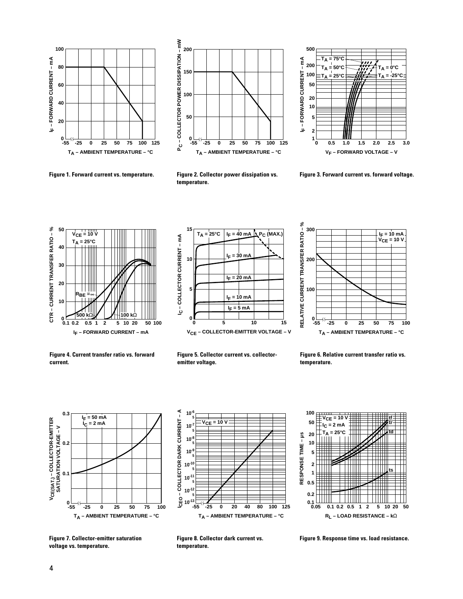



**Figure 1. Forward current vs. temperature. Figure 2. Collector power dissipation vs. temperature.**



**Figure 3. Forward current vs. forward voltage.**







**Figure 4. Current transfer ratio vs. forward current.**



**Figure 6. Relative current transfer ratio vs. temperature.**



CEO-COLLECTOR DARK CURRENT-A **ICEO – COLLECTOR DARK CURRENT – A 10-6 5 VCE = 10 V 10-7 5 10-8 5 10-9 5 10-10 5 10-11 5 10-12 5**  $10^{-13}$  $-55$ **-55 -25 80 125 0 40 100 20 TA – AMBIENT TEMPERATURE – °C**



**Figure 7. Collector-emitter saturation voltage vs. temperature.**



**Figure 9. Response time vs. load resistance.**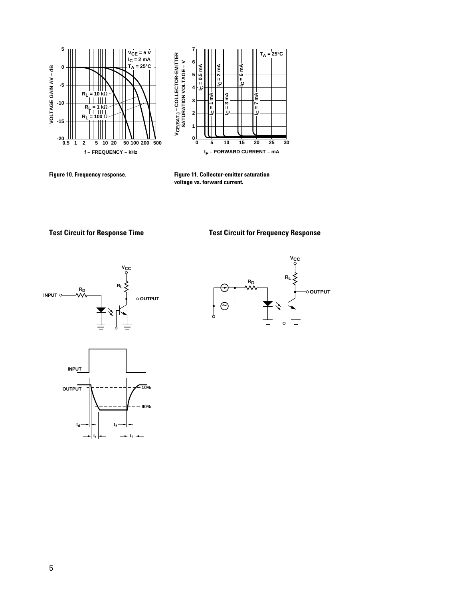

**Figure 10. Frequency response.**

**Figure 11. Collector-emitter saturation voltage vs. forward current.**